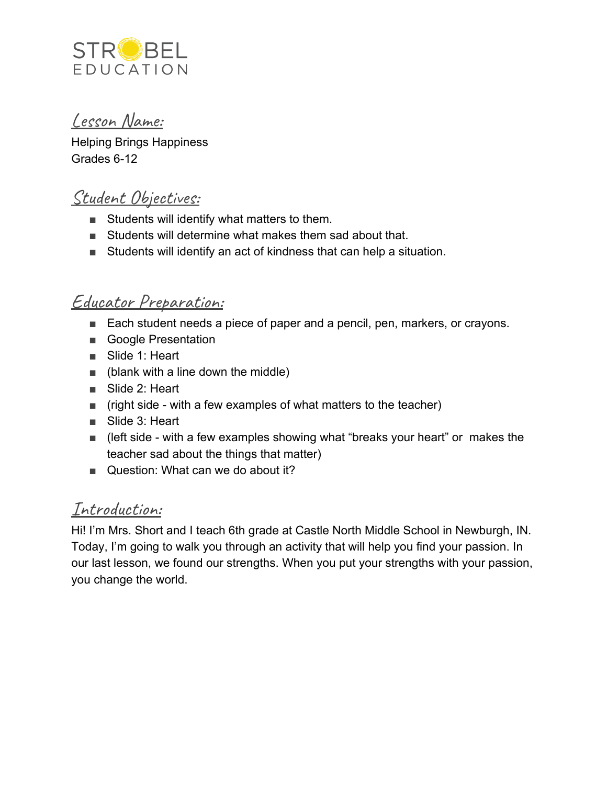

## Lesson Name:

Helping Brings Happiness Grades 6-12

# Student Objectives:

- Students will identify what matters to them.
- Students will determine what makes them sad about that.
- Students will identify an act of kindness that can help a situation.

## Educator Preparation:

- Each student needs a piece of paper and a pencil, pen, markers, or crayons.
- Google Presentation
- Slide 1: Heart
- $\blacksquare$  (blank with a line down the middle)
- Slide 2: Heart
- $\Box$  (right side with a few examples of what matters to the teacher)
- Slide 3: Heart
- (left side with a few examples showing what "breaks your heart" or makes the teacher sad about the things that matter)
- Question: What can we do about it?

# Introduction:

Hi! I'm Mrs. Short and I teach 6th grade at Castle North Middle School in Newburgh, IN. Today, I'm going to walk you through an activity that will help you find your passion. In our last lesson, we found our strengths. When you put your strengths with your passion, you change the world.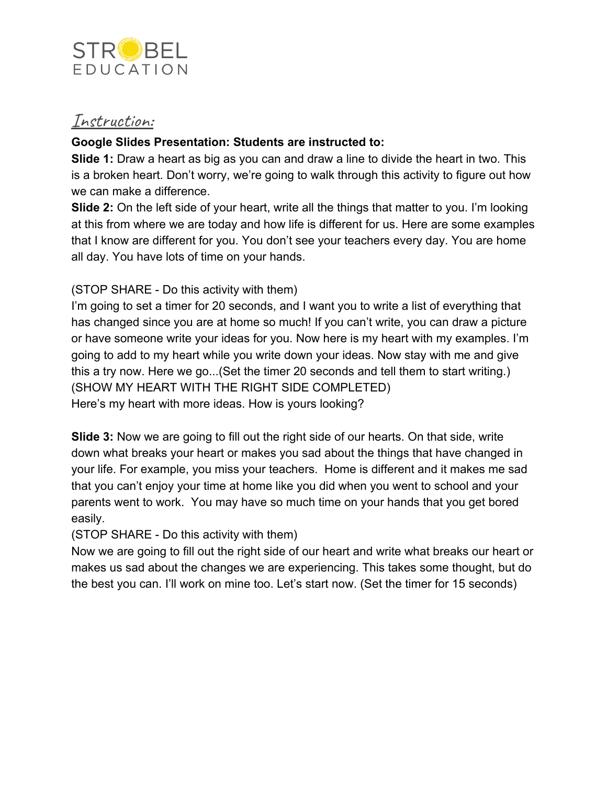

### Instruction:

#### **Google Slides Presentation: Students are instructed to:**

**Slide 1:** Draw a heart as big as you can and draw a line to divide the heart in two. This is a broken heart. Don't worry, we're going to walk through this activity to figure out how we can make a difference.

**Slide 2:** On the left side of your heart, write all the things that matter to you. I'm looking at this from where we are today and how life is different for us. Here are some examples that I know are different for you. You don't see your teachers every day. You are home all day. You have lots of time on your hands.

#### (STOP SHARE - Do this activity with them)

I'm going to set a timer for 20 seconds, and I want you to write a list of everything that has changed since you are at home so much! If you can't write, you can draw a picture or have someone write your ideas for you. Now here is my heart with my examples. I'm going to add to my heart while you write down your ideas. Now stay with me and give this a try now. Here we go...(Set the timer 20 seconds and tell them to start writing.) (SHOW MY HEART WITH THE RIGHT SIDE COMPLETED) Here's my heart with more ideas. How is yours looking?

**Slide 3:** Now we are going to fill out the right side of our hearts. On that side, write down what breaks your heart or makes you sad about the things that have changed in your life. For example, you miss your teachers. Home is different and it makes me sad that you can't enjoy your time at home like you did when you went to school and your parents went to work. You may have so much time on your hands that you get bored easily.

(STOP SHARE - Do this activity with them)

Now we are going to fill out the right side of our heart and write what breaks our heart or makes us sad about the changes we are experiencing. This takes some thought, but do the best you can. I'll work on mine too. Let's start now. (Set the timer for 15 seconds)